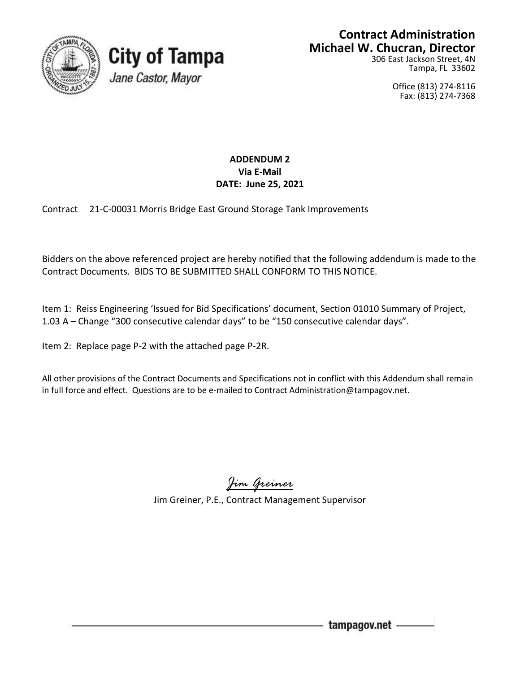



## **Contract Administration Michael W. Chucran, Director**

306 East Jackson Street, 4N Tampa, FL 33602

> Office (813) 274-8116 Fax: (813) 274-7368

## **ADDENDUM 2 Via E-Mail DATE: June 25, 2021**

Contract 21-C-00031 Morris Bridge East Ground Storage Tank Improvements

Bidders on the above referenced project are hereby notified that the following addendum is made to the Contract Documents. BIDS TO BE SUBMITTED SHALL CONFORM TO THIS NOTICE.

Item 1: Reiss Engineering 'Issued for Bid Specifications' document, Section 01010 Summary of Project, 1.03 A – Change "300 consecutive calendar days" to be "150 consecutive calendar days".

Item 2: Replace page P-2 with the attached page P-2R.

All other provisions of the Contract Documents and Specifications not in conflict with this Addendum shall remain in full force and effect. Questions are to be e-mailed to Contract Administration@tampagov.net.

*Jim Greiner*

Jim Greiner, P.E., Contract Management Supervisor